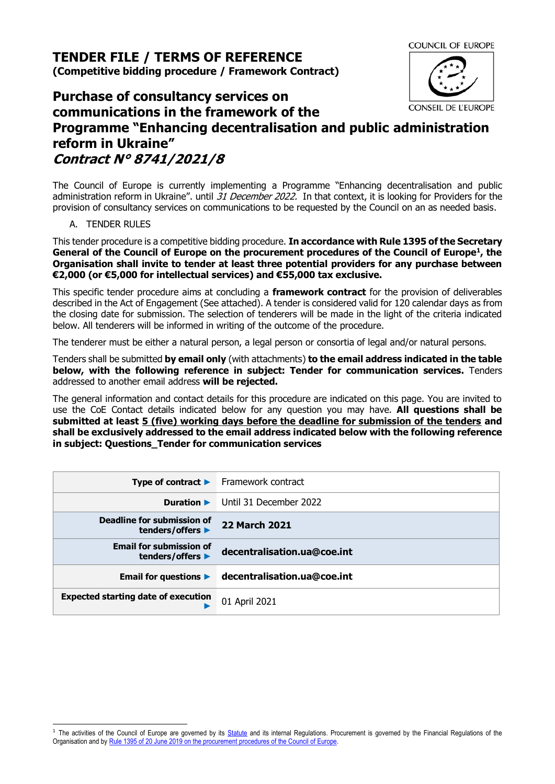**TENDER FILE / TERMS OF REFERENCE (Competitive bidding procedure / Framework Contract)**

**Purchase of consultancy services on communications in the framework of the Programme "Enhancing decentralisation and public administration reform in Ukraine" Contract N° 8741/2021/8**

The Council of Europe is currently implementing a Programme "Enhancing decentralisation and public administration reform in Ukraine". until 31 December 2022. In that context, it is looking for Providers for the provision of consultancy services on communications to be requested by the Council on an as needed basis.

## A. TENDER RULES

This tender procedure is a competitive bidding procedure. **In accordance with Rule 1395 of the Secretary**  General of the Council of Europe on the procurement procedures of the Council of Europe<sup>1</sup>, the **Organisation shall invite to tender at least three potential providers for any purchase between €2,000 (or €5,000 for intellectual services) and €55,000 tax exclusive.**

This specific tender procedure aims at concluding a **framework contract** for the provision of deliverables described in the Act of Engagement (See attached). A tender is considered valid for 120 calendar days as from the closing date for submission. The selection of tenderers will be made in the light of the criteria indicated below. All tenderers will be informed in writing of the outcome of the procedure.

The tenderer must be either a natural person, a legal person or consortia of legal and/or natural persons.

Tenders shall be submitted **by email only** (with attachments) **to the email address indicated in the table below, with the following reference in subject: Tender for communication services.** Tenders addressed to another email address **will be rejected.**

The general information and contact details for this procedure are indicated on this page. You are invited to use the CoE Contact details indicated below for any question you may have. **All questions shall be submitted at least 5 (five) working days before the deadline for submission of the tenders and shall be exclusively addressed to the email address indicated below with the following reference in subject: Questions\_Tender for communication services**

|                                                    | <b>Type of contract <math>\blacktriangleright</math></b> Framework contract |
|----------------------------------------------------|-----------------------------------------------------------------------------|
| Duration $\blacktriangleright$                     | Until 31 December 2022                                                      |
| Deadline for submission of<br>tenders/offers ▶     | <b>22 March 2021</b>                                                        |
| <b>Email for submission of</b><br>tenders/offers ▶ | decentralisation.ua@coe.int                                                 |
| Email for questions $\blacktriangleright$          | decentralisation.ua@coe.int                                                 |
| <b>Expected starting date of execution</b>         | 01 April 2021                                                               |



**COUNCIL OF EUROPE** 

**CONSEIL DE L'EUROPE** 

<sup>&</sup>lt;sup>1</sup> The activities of the Council of Europe are governed by its [Statute](https://rm.coe.int/CoERMPublicCommonSearchServices/DisplayDCTMContent?documentId=0900001680306052) and its internal Regulations. Procurement is governed by the Financial Regulations of the Organisation and by Rule 1395 of 20 June 2019 [on the procurement procedures of the Council of Europe.](https://search.coe.int/intranet/Pages/result_details.aspx?ObjectId=090000168094853e)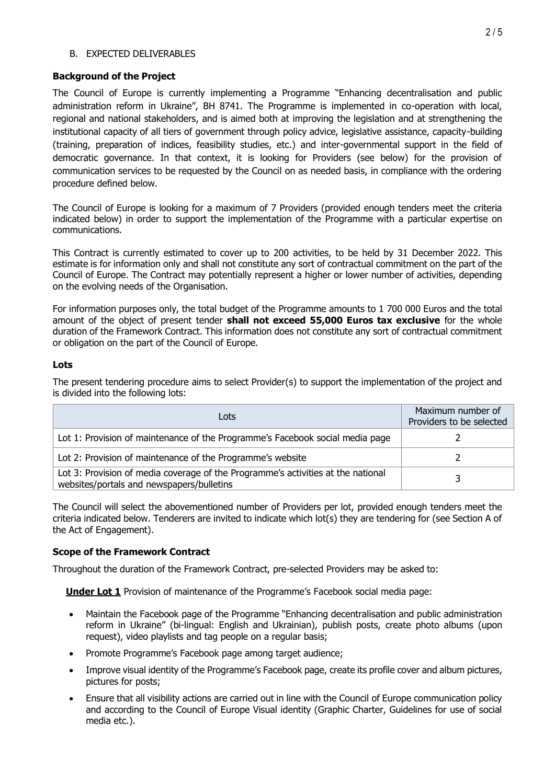### B. EXPECTED DELIVERABLES

# **Background of the Project**

The Council of Europe is currently implementing a Programme "Enhancing decentralisation and public administration reform in Ukraine", BH 8741. The Programme is implemented in co-operation with local, regional and national stakeholders, and is aimed both at improving the legislation and at strengthening the institutional capacity of all tiers of government through policy advice, legislative assistance, capacity-building (training, preparation of indices, feasibility studies, etc.) and inter-governmental support in the field of democratic governance. In that context, it is looking for Providers (see below) for the provision of communication services to be requested by the Council on as needed basis, in compliance with the ordering procedure defined below.

The Council of Europe is looking for a maximum of 7 Providers (provided enough tenders meet the criteria indicated below) in order to support the implementation of the Programme with a particular expertise on communications.

This Contract is currently estimated to cover up to 200 activities, to be held by 31 December 2022. This estimate is for information only and shall not constitute any sort of contractual commitment on the part of the Council of Europe. The Contract may potentially represent a higher or lower number of activities, depending on the evolving needs of the Organisation.

For information purposes only, the total budget of the Programme amounts to 1 700 000 Euros and the total amount of the object of present tender **shall not exceed 55,000 Euros tax exclusive** for the whole duration of the Framework Contract. This information does not constitute any sort of contractual commitment or obligation on the part of the Council of Europe.

# **Lots**

The present tendering procedure aims to select Provider(s) to support the implementation of the project and is divided into the following lots:

| Lots                                                                                                                          | Maximum number of<br>Providers to be selected |
|-------------------------------------------------------------------------------------------------------------------------------|-----------------------------------------------|
| Lot 1: Provision of maintenance of the Programme's Facebook social media page                                                 |                                               |
| Lot 2: Provision of maintenance of the Programme's website                                                                    |                                               |
| Lot 3: Provision of media coverage of the Programme's activities at the national<br>websites/portals and newspapers/bulletins |                                               |

The Council will select the abovementioned number of Providers per lot, provided enough tenders meet the criteria indicated below. Tenderers are invited to indicate which lot(s) they are tendering for (see Section A of the Act of Engagement).

# **Scope of the Framework Contract**

Throughout the duration of the Framework Contract, pre-selected Providers may be asked to:

**Under Lot 1** Provision of maintenance of the Programme's Facebook social media page:

- Maintain the Facebook page of the Programme "Enhancing decentralisation and public administration reform in Ukraine" (bi-lingual: English and Ukrainian), publish posts, create photo albums (upon request), video playlists and tag people on a regular basis;
- Promote Programme's Facebook page among target audience;
- Improve visual identity of the Programme's Facebook page, create its profile cover and album pictures, pictures for posts;
- Ensure that all visibility actions are carried out in line with the Council of Europe communication policy and according to the Council of Europe Visual identity (Graphic Charter, Guidelines for use of social media etc.).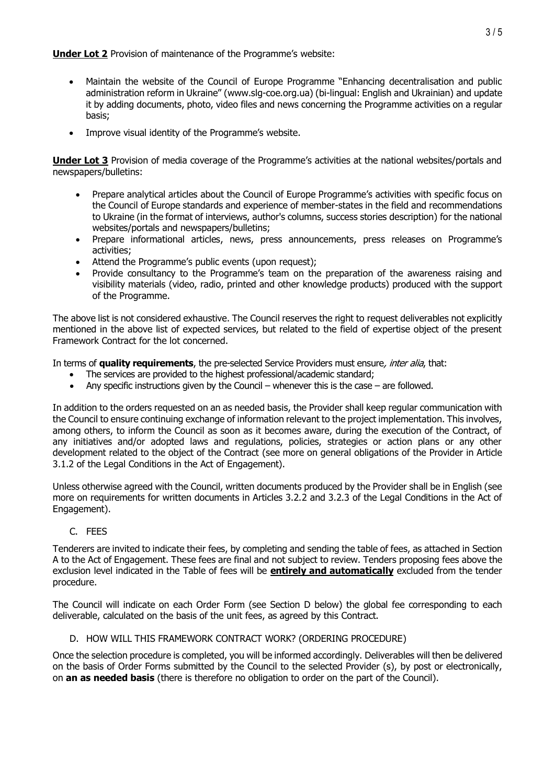**Under Lot 2** Provision of maintenance of the Programme's website:

- Maintain the website of the Council of Europe Programme "Enhancing decentralisation and public administration reform in Ukraine" (www.slg-coe.org.ua) (bi-lingual: English and Ukrainian) and update it by adding documents, photo, video files and news concerning the Programme activities on a regular basis;
- Improve visual identity of the Programme's website.

**Under Lot 3** Provision of media coverage of the Programme's activities at the national websites/portals and newspapers/bulletins:

- Prepare analytical articles about the Council of Europe Programme's activities with specific focus on the Council of Europe standards and experience of member-states in the field and recommendations to Ukraine (in the format of interviews, author's columns, success stories description) for the national websites/portals and newspapers/bulletins;
- Prepare informational articles, news, press announcements, press releases on Programme's activities;
- Attend the Programme's public events (upon request);
- Provide consultancy to the Programme's team on the preparation of the awareness raising and visibility materials (video, radio, printed and other knowledge products) produced with the support of the Programme.

The above list is not considered exhaustive. The Council reserves the right to request deliverables not explicitly mentioned in the above list of expected services, but related to the field of expertise object of the present Framework Contract for the lot concerned.

In terms of **quality requirements**, the pre-selected Service Providers must ensure, inter alia, that:

- The services are provided to the highest professional/academic standard;
- Any specific instructions given by the Council whenever this is the case are followed.

In addition to the orders requested on an as needed basis, the Provider shall keep regular communication with the Council to ensure continuing exchange of information relevant to the project implementation. This involves, among others, to inform the Council as soon as it becomes aware, during the execution of the Contract, of any initiatives and/or adopted laws and regulations, policies, strategies or action plans or any other development related to the object of the Contract (see more on general obligations of the Provider in Article 3.1.2 of the Legal Conditions in the Act of Engagement).

Unless otherwise agreed with the Council, written documents produced by the Provider shall be in English (see more on requirements for written documents in Articles 3.2.2 and 3.2.3 of the Legal Conditions in the Act of Engagement).

# C. FEES

Tenderers are invited to indicate their fees, by completing and sending the table of fees, as attached in Section A to the Act of Engagement. These fees are final and not subject to review. Tenders proposing fees above the exclusion level indicated in the Table of fees will be **entirely and automatically** excluded from the tender procedure.

The Council will indicate on each Order Form (see Section [D](#page-2-0) below) the global fee corresponding to each deliverable, calculated on the basis of the unit fees, as agreed by this Contract.

# D. HOW WILL THIS FRAMEWORK CONTRACT WORK? (ORDERING PROCEDURE)

<span id="page-2-0"></span>Once the selection procedure is completed, you will be informed accordingly. Deliverables will then be delivered on the basis of Order Forms submitted by the Council to the selected Provider (s), by post or electronically, on **an as needed basis** (there is therefore no obligation to order on the part of the Council).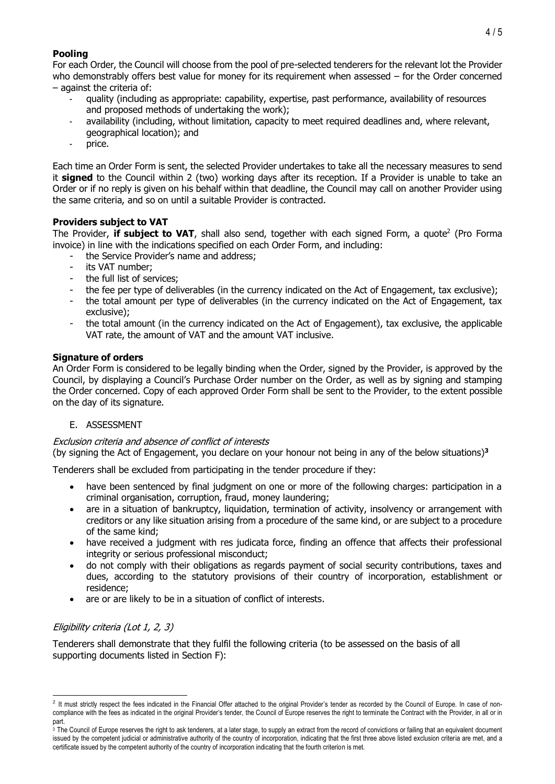# **Pooling**

For each Order, the Council will choose from the pool of pre-selected tenderers for the relevant lot the Provider who demonstrably offers best value for money for its requirement when assessed – for the Order concerned – against the criteria of:

- quality (including as appropriate: capability, expertise, past performance, availability of resources and proposed methods of undertaking the work);
- availability (including, without limitation, capacity to meet required deadlines and, where relevant, geographical location); and
- price.

Each time an Order Form is sent, the selected Provider undertakes to take all the necessary measures to send it **signed** to the Council within 2 (two) working days after its reception. If a Provider is unable to take an Order or if no reply is given on his behalf within that deadline, the Council may call on another Provider using the same criteria, and so on until a suitable Provider is contracted.

## **Providers subject to VAT**

The Provider, **if subject to VAT**, shall also send, together with each signed Form, a quote<sup>2</sup> (Pro Forma invoice) in line with the indications specified on each Order Form, and including:

- the Service Provider's name and address;
- its VAT number:
- the full list of services;
- the fee per type of deliverables (in the currency indicated on the Act of Engagement, tax exclusive);
- the total amount per type of deliverables (in the currency indicated on the Act of Engagement, tax exclusive);
- the total amount (in the currency indicated on the Act of Engagement), tax exclusive, the applicable VAT rate, the amount of VAT and the amount VAT inclusive.

### **Signature of orders**

An Order Form is considered to be legally binding when the Order, signed by the Provider, is approved by the Council, by displaying a Council's Purchase Order number on the Order, as well as by signing and stamping the Order concerned. Copy of each approved Order Form shall be sent to the Provider, to the extent possible on the day of its signature.

### E. ASSESSMENT

### Exclusion criteria and absence of conflict of interests

(by signing the Act of Engagement, you declare on your honour not being in any of the below situations)**<sup>3</sup>**

Tenderers shall be excluded from participating in the tender procedure if they:

- have been sentenced by final judgment on one or more of the following charges: participation in a criminal organisation, corruption, fraud, money laundering;
- are in a situation of bankruptcy, liquidation, termination of activity, insolvency or arrangement with creditors or any like situation arising from a procedure of the same kind, or are subject to a procedure of the same kind;
- have received a judgment with res judicata force, finding an offence that affects their professional integrity or serious professional misconduct;
- do not comply with their obligations as regards payment of social security contributions, taxes and dues, according to the statutory provisions of their country of incorporation, establishment or residence;
- are or are likely to be in a situation of conflict of interests.

# Eligibility criteria (Lot 1, 2, 3)

Tenderers shall demonstrate that they fulfil the following criteria (to be assessed on the basis of all supporting documents listed in Section F):

<sup>&</sup>lt;sup>2</sup> It must strictly respect the fees indicated in the Financial Offer attached to the original Provider's tender as recorded by the Council of Europe. In case of noncompliance with the fees as indicated in the original Provider's tender, the Council of Europe reserves the right to terminate the Contract with the Provider, in all or in part.

 $\frac{1}{3}$  The Council of Europe reserves the right to ask tenderers, at a later stage, to supply an extract from the record of convictions or failing that an equivalent document issued by the competent judicial or administrative authority of the country of incorporation, indicating that the first three above listed exclusion criteria are met, and a certificate issued by the competent authority of the country of incorporation indicating that the fourth criterion is met.